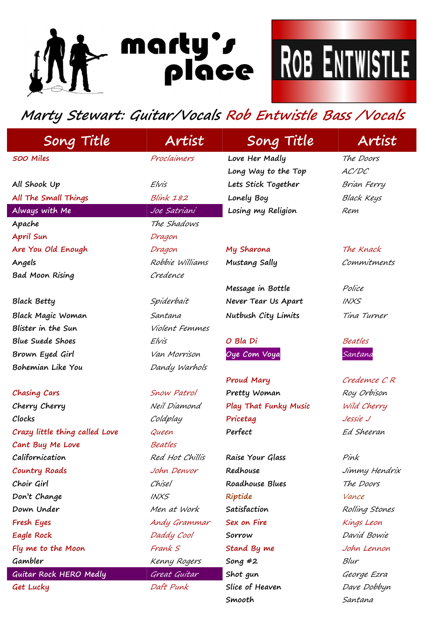## INA morty's ROB ENTWISTLE

## **Marty Stewart: Guitar/Vocals Rob Entwistle Bass /Vocals**

| Song Title                     | Artist           | Song Title                   | Artist            |
|--------------------------------|------------------|------------------------------|-------------------|
| 500 Miles                      | Proclaimers      | Love Her Madly               | The Doors         |
|                                |                  | Long Way to the Top          | AC/DC             |
| All Shook Up                   | Elvis            | Lets Stick Together          | Brian Ferry       |
| All The Small Things           | <b>Blink 182</b> | Lonely Boy                   | <b>Black Keys</b> |
| Always with Me                 | Joe Satriani     | Losing my Religion           | Rem               |
| Apache                         | The Shadows      |                              |                   |
| April Sun                      | Dragon           |                              |                   |
| Are You Old Enough             | Dragon           | My Sharona                   | The Knack         |
| Angels                         | Robbie Williams  | Mustang Sally                | Commitments       |
| <b>Bad Moon Rising</b>         | Credence         |                              |                   |
|                                |                  | Message in Bottle            | Police            |
| <b>Black Betty</b>             | Spiderbait       | Never Tear Us Apart          | <b>INXS</b>       |
| Black Magic Woman              | Santana          | Nutbush City Limits          | Tina Turner       |
| Blister in the Sun             | Violent Femmes   |                              |                   |
| <b>Blue Suede Shoes</b>        | Elvis            | O Bla Di                     | Beatles           |
| Brown Eyed Girl                | Van Morrison     | Oye Com Voya                 | Santana           |
| Bohemian Like You              | Dandy Warhols    |                              |                   |
|                                |                  | Proud Mary                   | Credemce CR       |
| Chasing Cars                   | Snow Patrol      | Pretty Woman                 | Roy Orbison       |
| Cherry Cherry                  | Neil Diamond     | <b>Play That Funky Music</b> | Wild Cherry       |
| Clocks                         | Coldplay         | Pricetag                     | Jessie J          |
| Crazy little thing called Love | Queen            | Perfect                      | Ed Sheeran        |
| Cant Buy Me Love               | Beatles          |                              |                   |
| Californication                | Red Hot Chillis  | Raise Your Glass             | Pink              |
| Country Roads                  | John Denvor      | Redhouse                     | Jimmy Hendrix     |
| Choir Girl                     | Chisel           | Roadhouse Blues              | The Doors         |
| Don't Change                   | <b>INXS</b>      | Riptide                      | Vance             |
| Down Under                     | Men at Work      | Satisfaction                 | Rolling Stones    |
| Fresh Eyes                     | Andy Grammar     | Sex on Fire                  | Kings Leon        |
| Eagle Rock                     | Daddy Cool       | Sorrow                       | David Bowie       |
| Fly me to the Moon             | Frank S          | Stand By me                  | John Lennon       |
| Gambler                        | Kenny Rogers     | Song $#2$                    | Blur              |
| Guitar Rock HERO Medly         | Great Guitar     | Shot gun                     | George Ezra       |
| Get Lucky                      | Daft Punk        | Slice of Heaven              | Dave Dobbyn       |
|                                |                  | Smooth                       | Santana           |